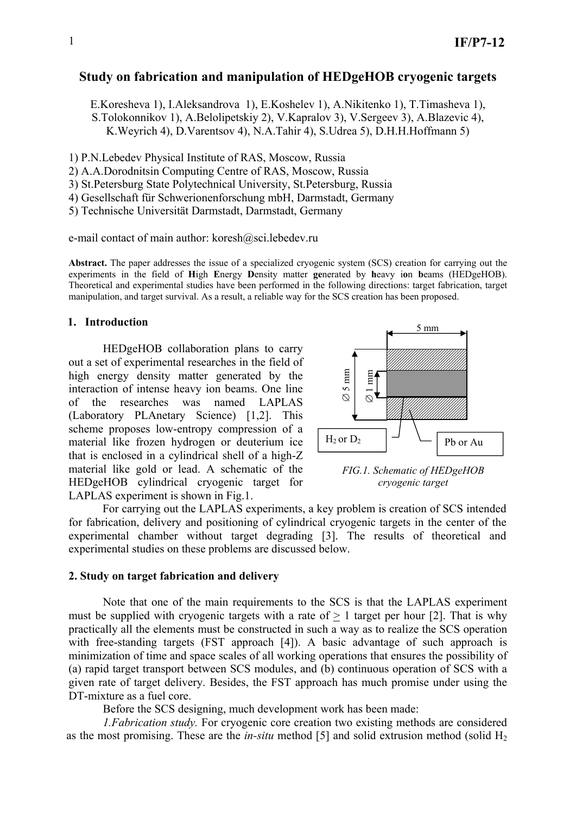# **Study on fabrication and manipulation of HEDgeHOB cryogenic targets**

E.Koresheva 1), I.Aleksandrova 1), E.Koshelev 1), A.Nikitenko 1), T.Timasheva 1), S.Tolokonnikov 1), A.Belolipetskiy 2), V.Kapralov 3), V.Sergeev 3), A.Blazevic 4), K.Weyrich 4), D.Varentsov 4), N.A.Tahir 4), S.Udrea 5), D.H.H.Hoffmann 5)

1) P.N.Lebedev Physical Institute of RAS, Moscow, Russia

2) A.A.Dorodnitsin Computing Centre of RAS, Moscow, Russia

3) St.Petersburg State Polytechnical University, St.Petersburg, Russia

4) Gesellschaft für Schwerionenforschung mbH, Darmstadt, Germany

5) Technische Universität Darmstadt, Darmstadt, Germany

e-mail contact of main author: koresh@sci.lebedev.ru

**Abstract.** The paper addresses the issue of a specialized cryogenic system (SCS) creation for carrying out the experiments in the field of **H**igh **E**nergy **D**ensity matter **ge**nerated by **h**eavy i**o**n **b**eams (HEDgeHOB). Theoretical and experimental studies have been performed in the following directions: target fabrication, target manipulation, and target survival. As a result, a reliable way for the SCS creation has been proposed.

### **1. Introduction**

 HEDgeHOB collaboration plans to carry out a set of experimental researches in the field of high energy density matter generated by the interaction of intense heavy ion beams. One line of the researches was named LAPLAS (Laboratory PLAnetary Science) [1,2]. This scheme proposes low-entropy compression of a material like frozen hydrogen or deuterium ice that is enclosed in a cylindrical shell of a high-Z material like gold or lead. A schematic of the HEDgeHOB cylindrical cryogenic target for LAPLAS experiment is shown in Fig.1.



*FIG.1. Schematic of HEDgeHOB cryogenic target* 

 For carrying out the LAPLAS experiments, a key problem is creation of SCS intended for fabrication, delivery and positioning of cylindrical cryogenic targets in the center of the experimental chamber without target degrading [3]. The results of theoretical and experimental studies on these problems are discussed below.

#### **2. Study on target fabrication and delivery**

 Note that one of the main requirements to the SCS is that the LAPLAS experiment must be supplied with cryogenic targets with a rate of  $> 1$  target per hour [2]. That is why practically all the elements must be constructed in such a way as to realize the SCS operation with free-standing targets (FST approach [4]). A basic advantage of such approach is minimization of time and space scales of all working operations that ensures the possibility of (a) rapid target transport between SCS modules, and (b) continuous operation of SCS with a given rate of target delivery. Besides, the FST approach has much promise under using the DT-mixture as a fuel core.

Before the SCS designing, much development work has been made:

 *1.Fabrication study.* For cryogenic core creation two existing methods are considered as the most promising. These are the *in-situ* method [5] and solid extrusion method (solid  $H_2$ )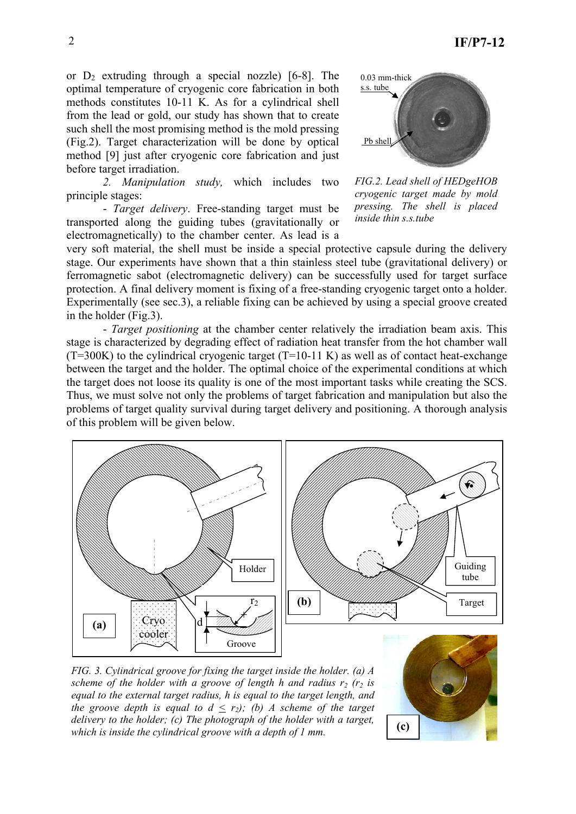or  $D_2$  extruding through a special nozzle) [6-8]. The optimal temperature of cryogenic core fabrication in both methods constitutes 10-11 K. As for a cylindrical shell from the lead or gold, our study has shown that to create such shell the most promising method is the mold pressing (Fig.2). Target characterization will be done by optical method [9] just after cryogenic core fabrication and just before target irradiation.

 *2. Manipulation study,* which includes two principle stages:

 - *Target delivery*. Free-standing target must be transported along the guiding tubes (gravitationally or electromagnetically) to the chamber center. As lead is a



*FIG.2. Lead shell of HEDgeHOB cryogenic target made by mold pressing. The shell is placed inside thin s.s.tube* 

very soft material, the shell must be inside a special protective capsule during the delivery stage. Our experiments have shown that a thin stainless steel tube (gravitational delivery) or ferromagnetic sabot (electromagnetic delivery) can be successfully used for target surface protection. A final delivery moment is fixing of a free-standing cryogenic target onto a holder. Experimentally (see sec.3), a reliable fixing can be achieved by using a special groove created in the holder (Fig.3).

 - *Target positioning* at the chamber center relatively the irradiation beam axis. This stage is characterized by degrading effect of radiation heat transfer from the hot chamber wall  $(T=300K)$  to the cylindrical cryogenic target  $(T=10-11 \text{ K})$  as well as of contact heat-exchange between the target and the holder. The optimal choice of the experimental conditions at which the target does not loose its quality is one of the most important tasks while creating the SCS. Thus, we must solve not only the problems of target fabrication and manipulation but also the problems of target quality survival during target delivery and positioning. A thorough analysis of this problem will be given below.



*FIG. 3. Cylindrical groove for fixing the target inside the holder. (а) A scheme of the holder with a groove of length h and radius*  $r_2$  *(r<sub>2</sub> <i>is equal to the external target radius, h is equal to the target length, and the groove depth is equal to*  $d \leq r_2$ *; (b) A scheme of the target delivery to the holder; (c) The photograph of the holder with a target, which is inside the cylindrical groove with a depth of 1 mm.*

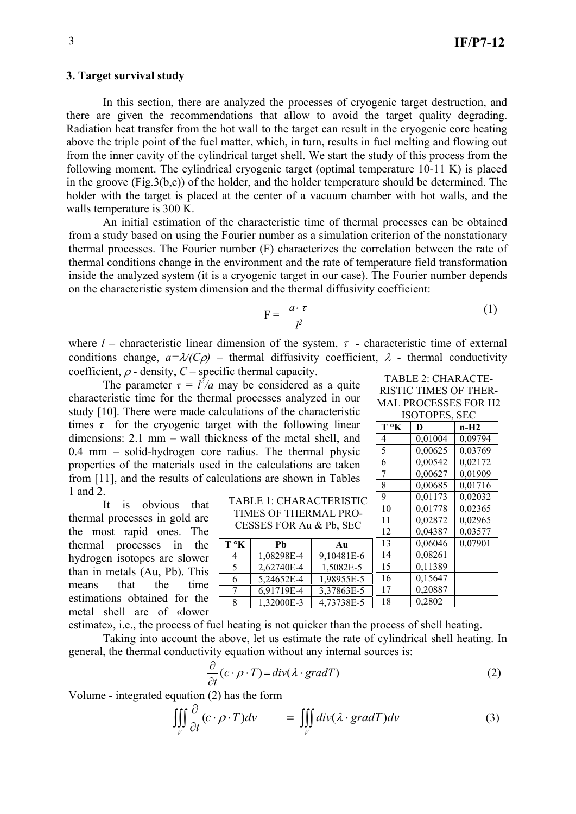### **3. Target survival study**

 In this section, there are analyzed the processes of cryogenic target destruction, and there are given the recommendations that allow to avoid the target quality degrading. Radiation heat transfer from the hot wall to the target can result in the cryogenic core heating above the triple point of the fuel matter, which, in turn, results in fuel melting and flowing out from the inner cavity of the cylindrical target shell. We start the study of this process from the following moment. The cylindrical cryogenic target (optimal temperature 10-11 K) is placed in the groove (Fig.3(b,c)) of the holder, and the holder temperature should be determined. The holder with the target is placed at the center of a vacuum chamber with hot walls, and the walls temperature is 300 K.

 An initial estimation of the characteristic time of thermal processes can be obtained from a study based on using the Fourier number as a simulation criterion of the nonstationary thermal processes. The Fourier number (F) characterizes the correlation between the rate of thermal conditions change in the environment and the rate of temperature field transformation inside the analyzed system (it is a cryogenic target in our case). The Fourier number depends on the characteristic system dimension and the thermal diffusivity coefficient:

$$
F = \frac{a \cdot \tau}{l^2} \tag{1}
$$

where  $l$  – characteristic linear dimension of the system,  $\tau$  - characteristic time of external conditions change,  $a = \lambda/(C\rho)$  – thermal diffusivity coefficient,  $\lambda$  - thermal conductivity coefficient,  $\rho$  - density,  $C$  – specific thermal capacity.

The parameter  $\tau = l^2/a$  may be considered as a quite characteristic time for the thermal processes analyzed in our study [10]. There were made calculations of the characteristic times  $\tau$  for the cryogenic target with the following linear dimensions: 2.1 mm – wall thickness of the metal shell, and 0.4 mm – solid-hydrogen core radius. The thermal physic properties of the materials used in the calculations are taken from [11], and the results of calculations are shown in Tables 1 and 2.

 It is obvious that thermal processes in gold are the most rapid ones. The thermal processes in the hydrogen isotopes are slower than in metals (Au, Pb). This means that the time estimations obtained for the metal shell are of «lower

TABLE 1: CHARACTERISTIC TIMES OF THERMAL PRO-CESSES FOR Au & Pb, SEC

|              |            |            | 12 | 0,04387 | 0,03577 |
|--------------|------------|------------|----|---------|---------|
| $T^{\circ}K$ | Pb         | Au         | 13 | 0,06046 | 0,07901 |
|              | 1,08298E-4 | 9,10481E-6 | 14 | 0,08261 |         |
|              | 2,62740E-4 | 1,5082E-5  | 15 | 0,11389 |         |
|              | 5.24652E-4 | 1,98955E-5 | 16 | 0,15647 |         |
|              | 6,91719E-4 | 3,37863E-5 | 17 | 0,20887 |         |
|              | 1,32000E-3 | 4,73738E-5 | 18 | 0,2802  |         |

estimate», i.e., the process of fuel heating is not quicker than the process of shell heating.

 Taking into account the above, let us estimate the rate of cylindrical shell heating. In general, the thermal conductivity equation without any internal sources is:

$$
\frac{\partial}{\partial t}(c \cdot \rho \cdot T) = \text{div}(\lambda \cdot \text{grad}T) \tag{2}
$$

Volume - integrated equation (2) has the form

$$
\iiint\limits_V \frac{\partial}{\partial t} (c \cdot \rho \cdot T) dv = \iiint\limits_V \frac{div(\lambda \cdot gradT)}{dv} \tag{3}
$$

| TABLE 2: CHARACTE-          |
|-----------------------------|
| RISTIC TIMES OF THER-       |
| <b>MAL PROCESSES FOR H2</b> |
| ICOTODES SEC                |

|               | <b>ISOTOPES, SEC</b> |         |         |  |
|---------------|----------------------|---------|---------|--|
|               | Т°К                  | D       | n-H2    |  |
|               | 4                    | 0,01004 | 0,09794 |  |
|               | 5                    | 0,00625 | 0,03769 |  |
|               | 6                    | 0,00542 | 0,02172 |  |
|               | 7                    | 0,00627 | 0,01909 |  |
|               | 8                    | 0,00685 | 0,01716 |  |
| С             | 9                    | 0,01173 | 0,02032 |  |
|               | 10                   | 0,01778 | 0,02365 |  |
|               | 11                   | 0,02872 | 0,02965 |  |
|               | 12                   | 0,04387 | 0,03577 |  |
|               | 13                   | 0,06046 | 0,07901 |  |
| 5             | 14                   | 0,08261 |         |  |
|               | 15                   | 0,11389 |         |  |
|               | 16                   | 0,15647 |         |  |
| $\frac{5}{2}$ | 17                   | 0,20887 |         |  |
|               | $1 \Omega$           | o agoa  |         |  |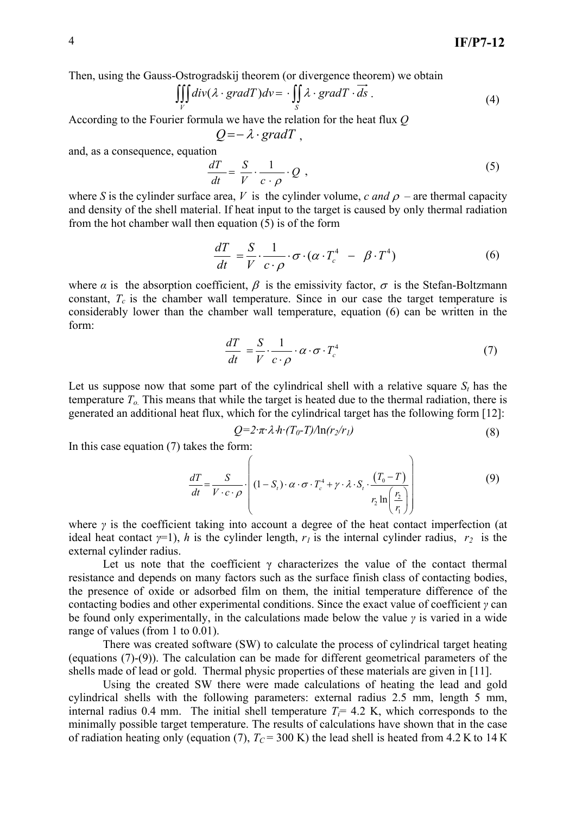Then, using the Gauss-Ostrogradskij theorem (or divergence theorem) we obtain

$$
\iiint\limits_V \text{div}(\lambda \cdot \text{grad}T)d\text{v} = \cdot \iint\limits_S \lambda \cdot \text{grad}T \cdot \overrightarrow{ds} \ . \tag{4}
$$

According to the Fourier formula we have the relation for the heat flux *Q* 

$$
Q = -\lambda \cdot gradT ,
$$

and, as a consequence, equation

$$
\frac{dT}{dt} = \frac{S}{V} \cdot \frac{1}{c \cdot \rho} \cdot Q \tag{5}
$$

where *S* is the cylinder surface area, *V* is the cylinder volume, *c and*  $\rho$  – are thermal capacity and density of the shell material. If heat input to the target is caused by only thermal radiation from the hot chamber wall then equation (5) is of the form

$$
\frac{dT}{dt} = \frac{S}{V} \cdot \frac{1}{c \cdot \rho} \cdot \sigma \cdot (\alpha \cdot T_c^4 - \beta \cdot T^4)
$$
(6)

where  $\alpha$  is the absorption coefficient,  $\beta$  is the emissivity factor,  $\sigma$  is the Stefan-Boltzmann constant,  $T_c$  is the chamber wall temperature. Since in our case the target temperature is considerably lower than the chamber wall temperature, equation (6) can be written in the form:

$$
\frac{dT}{dt} = \frac{S}{V} \cdot \frac{1}{c \cdot \rho} \cdot \alpha \cdot \sigma \cdot T_c^4 \tag{7}
$$

Let us suppose now that some part of the cylindrical shell with a relative square  $S_t$  has the temperature  $T<sub>o</sub>$ . This means that while the target is heated due to the thermal radiation, there is generated an additional heat flux, which for the cylindrical target has the following form [12]:

$$
Q=2\cdot\pi\cdot\lambda\cdot h\cdot(T_0-T)/\ln(r_2/r_1)\tag{8}
$$

In this case equation (7) takes the form:

$$
\frac{dT}{dt} = \frac{S}{V \cdot c \cdot \rho} \cdot \left( (1 - S_t) \cdot \alpha \cdot \sigma \cdot T_c^4 + \gamma \cdot \lambda \cdot S_t \cdot \frac{(T_0 - T)}{r_2 \ln\left(\frac{r_2}{r_1}\right)} \right) \tag{9}
$$

where *γ* is the coefficient taking into account a degree of the heat contact imperfection (at ideal heat contact  $\gamma$ =1), *h* is the cylinder length,  $r_1$  is the internal cylinder radius,  $r_2$  is the external cylinder radius.

Let us note that the coefficient  $\gamma$  characterizes the value of the contact thermal resistance and depends on many factors such as the surface finish class of contacting bodies, the presence of oxide or adsorbed film on them, the initial temperature difference of the contacting bodies and other experimental conditions. Since the exact value of coefficient *γ* can be found only experimentally, in the calculations made below the value *γ* is varied in a wide range of values (from 1 to 0.01).

 There was created software (SW) to calculate the process of cylindrical target heating (equations (7)-(9)). The calculation can be made for different geometrical parameters of the shells made of lead or gold. Thermal physic properties of these materials are given in [11].

 Using the created SW there were made calculations of heating the lead and gold cylindrical shells with the following parameters: external radius 2.5 mm, length 5 mm, internal radius 0.4 mm. The initial shell temperature  $T<sub>i</sub> = 4.2$  K, which corresponds to the minimally possible target temperature. The results of calculations have shown that in the case of radiation heating only (equation (7),  $T_c$  = 300 K) the lead shell is heated from 4.2 K to 14 K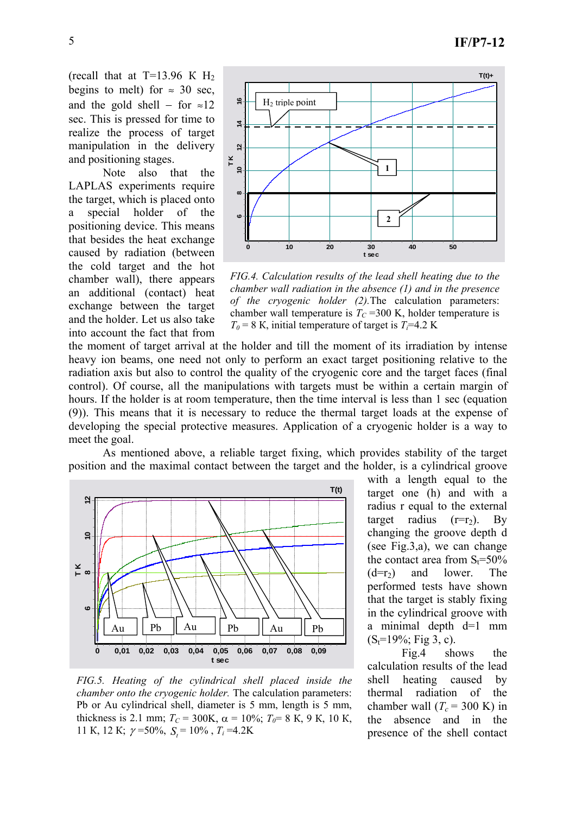(recall that at  $T=13.96$  K H<sub>2</sub> begins to melt) for  $\approx$  30 sec, and the gold shell – for  $\approx 12$ sec. This is pressed for time to realize the process of target manipulation in the delivery and positioning stages.

 Note also that the LAPLAS experiments require the target, which is placed onto a special holder of the positioning device. This means that besides the heat exchange caused by radiation (between the cold target and the hot chamber wall), there appears an additional (contact) heat exchange between the target and the holder. Let us also take into account the fact that from



*FIG.4. Calculation results of the lead shell heating due to the chamber wall radiation in the absence (1) and in the presence of the cryogenic holder (2).*The calculation parameters: chamber wall temperature is  $T_C$  =300 K, holder temperature is  $T_0 = 8$  K, initial temperature of target is  $T_0 = 4.2$  K

the moment of target arrival at the holder and till the moment of its irradiation by intense heavy ion beams, one need not only to perform an exact target positioning relative to the radiation axis but also to control the quality of the cryogenic core and the target faces (final control). Of course, all the manipulations with targets must be within a certain margin of hours. If the holder is at room temperature, then the time interval is less than 1 sec (equation (9)). This means that it is necessary to reduce the thermal target loads at the expense of developing the special protective measures. Application of a cryogenic holder is a way to meet the goal.

As mentioned above, a reliable target fixing, which provides stability of the target position and the maximal contact between the target and the holder, is a cylindrical groove



*FIG.5. Heating of the cylindrical shell placed inside the chamber onto the cryogenic holder.* The calculation parameters: Pb or Au cylindrical shell, diameter is 5 mm, length is 5 mm, thickness is 2.1 mm;  $T_C = 300K$ ,  $\alpha = 10\%$ ;  $T_0 = 8 K$ , 9 K, 10 K, 11 K, 12 K;  $\gamma$  = 50%,  $S_t$  = 10%,  $T_i$  = 4.2K

with a length equal to the target one (h) and with a radius r equal to the external target radius  $(r=r_2)$ . By changing the groove depth d (see Fig.3,a), we can change the contact area from  $S_t = 50\%$  $(d=r<sub>2</sub>)$  and lower. The performed tests have shown that the target is stably fixing in the cylindrical groove with a minimal depth d=1 mm  $(S_t=19\%; Fig 3, c).$ 

 Fig.4 shows the calculation results of the lead shell heating caused by thermal radiation of the chamber wall  $(T_c = 300 \text{ K})$  in the absence and in the presence of the shell contact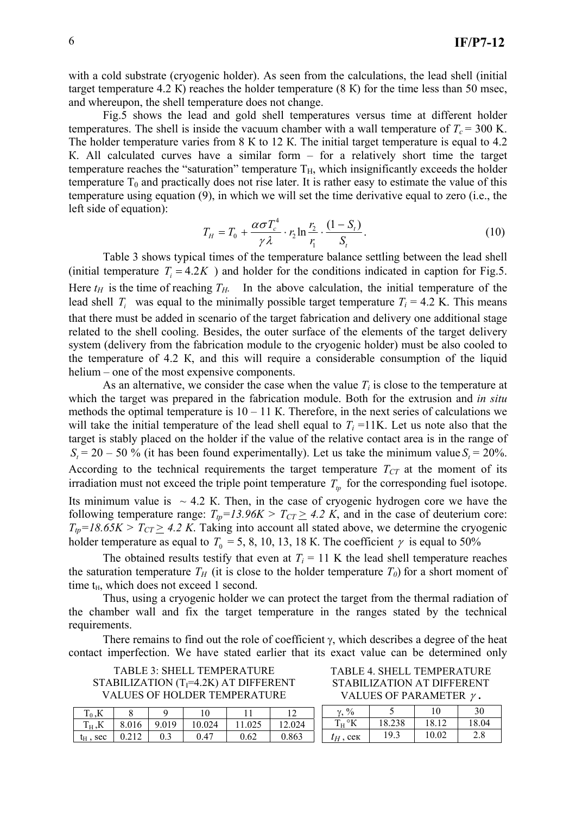with a cold substrate (cryogenic holder). As seen from the calculations, the lead shell (initial target temperature 4.2 К) reaches the holder temperature (8 К) for the time less than 50 msec, and whereupon, the shell temperature does not change.

 Fig.5 shows the lead and gold shell temperatures versus time at different holder temperatures. The shell is inside the vacuum chamber with a wall temperature of  $T_c = 300$  K. The holder temperature varies from 8 K to 12 K. The initial target temperature is equal to 4.2 К. All calculated curves have a similar form – for a relatively short time the target temperature reaches the "saturation" temperature  $T_H$ , which insignificantly exceeds the holder temperature  $T_0$  and practically does not rise later. It is rather easy to estimate the value of this temperature using equation (9), in which we will set the time derivative equal to zero (i.е., the left side of equation):

$$
T_H = T_0 + \frac{\alpha \sigma T_c^4}{\gamma \lambda} \cdot r_2 \ln \frac{r_2}{r_1} \cdot \frac{(1 - S_t)}{S_t}.
$$
 (10)

 Table 3 shows typical times of the temperature balance settling between the lead shell (initial temperature  $T<sub>i</sub> = 4.2K$ ) and holder for the conditions indicated in caption for Fig.5. Here  $t_H$  is the time of reaching  $T_H$ . In the above calculation, the initial temperature of the lead shell  $T_i$  was equal to the minimally possible target temperature  $T_i = 4.2$  K. This means that there must be added in scenario of the target fabrication and delivery one additional stage related to the shell cooling. Besides, the outer surface of the elements of the target delivery system (delivery from the fabrication module to the cryogenic holder) must be also cooled to the temperature of 4.2 К, and this will require а considerable consumption of the liquid helium – one of the most expensive components.

As an alternative, we consider the case when the value  $T_i$  is close to the temperature at which the target was prepared in the fabrication module. Both for the extrusion and *in situ* methods the optimal temperature is  $10 - 11$  K. Therefore, in the next series of calculations we will take the initial temperature of the lead shell equal to  $T<sub>i</sub> = 11K$ . Let us note also that the target is stably placed on the holder if the value of the relative contact area is in the range of  $S<sub>i</sub> = 20 - 50$  % (it has been found experimentally). Let us take the minimum value  $S<sub>i</sub> = 20$ %. According to the technical requirements the target temperature  $T_{CT}$  at the moment of its irradiation must not exceed the triple point temperature  $T_p$  for the corresponding fuel isotope. Its minimum value is  $\sim$  4.2 K. Then, in the case of cryogenic hydrogen core we have the following temperature range:  $T_{tp} = 13.96K > T_{CT} \ge 4.2 K$ , and in the case of deuterium core:  $T_{tp} = 18.65K > T_{CT} \ge 4.2K$ . Taking into account all stated above, we determine the cryogenic holder temperature as equal to  $T_0 = 5$ , 8, 10, 13, 18 K. The coefficient  $\gamma$  is equal to 50%

The obtained results testify that even at  $T_i = 11$  K the lead shell temperature reaches the saturation temperature  $T_H$  (it is close to the holder temperature  $T_0$ ) for a short moment of time  $t_H$ , which does not exceed 1 second.

Thus, using a cryogenic holder we can protect the target from the thermal radiation of the chamber wall and fix the target temperature in the ranges stated by the technical requirements.

There remains to find out the role of coefficient  $\gamma$ , which describes a degree of the heat contact imperfection. We have stated earlier that its exact value can be determined only

TABLE 3: SHELL TEMPERATURE STABILIZATION  $(T_1=4.2K)$  AT DIFFERENT VALUES OF HOLDER TEMPERATURE

| $T_0$ ,K    |       |       | l O    |        |        |
|-------------|-------|-------|--------|--------|--------|
| $T_H, K$    | 8.016 | 9.019 | 10.024 | 11.025 | 12.024 |
| $t_H$ , sec | 0.212 |       | 0.47   | 0.62   | 0.863  |

TABLE 4. SHELL TEMPERATURE STABILIZATION AT DIFFERENT VALUES OF PARAMETER γ **.**

| $\frac{0}{0}$ |          | 10    | 30    |
|---------------|----------|-------|-------|
| $\cdot$ H     | 18.238   | 18.12 | 18.04 |
| $t_H$ , сек   | $19_{.}$ | 10.02 | 2.8   |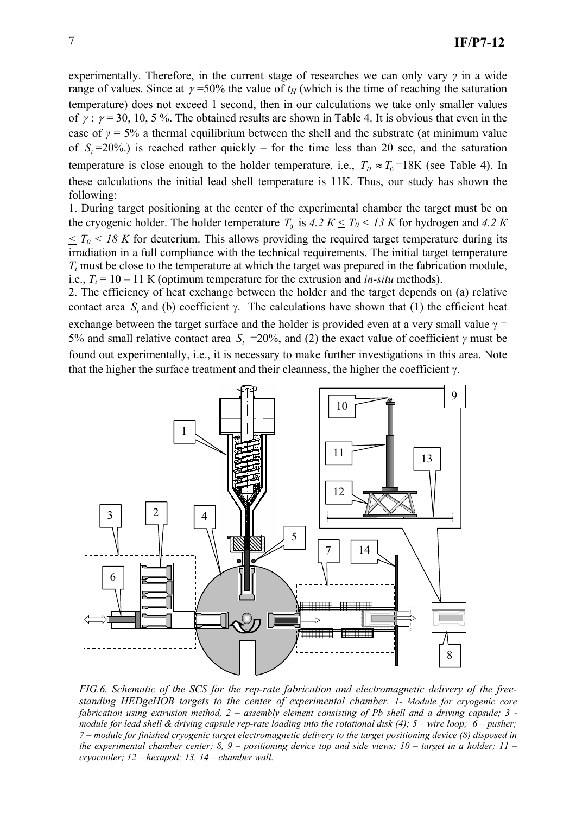experimentally. Therefore, in the current stage of researches we can only vary *γ* in a wide range of values. Since at  $\gamma$ =50% the value of  $t_H$  (which is the time of reaching the saturation temperature) does not exceed 1 second, then in our calculations we take only smaller values of  $\gamma$ :  $\gamma$  = 30, 10, 5%. The obtained results are shown in Table 4. It is obvious that even in the case of  $\gamma = 5\%$  a thermal equilibrium between the shell and the substrate (at minimum value of  $S = 20\%$ ) is reached rather quickly – for the time less than 20 sec, and the saturation temperature is close enough to the holder temperature, i.e.,  $T_H \approx T_0 = 18K$  (see Table 4). In these calculations the initial lead shell temperature is 11К. Thus, our study has shown the following:

1. During target positioning at the center of the experimental chamber the target must be on the cryogenic holder. The holder temperature  $T_0$  is  $4.2 K \leq T_0 < 13 K$  for hydrogen and  $4.2 K$  $\leq T_0$  < 18 K for deuterium. This allows providing the required target temperature during its irradiation in a full compliance with the technical requirements. The initial target temperature *Ti* must be close to the temperature at which the target was prepared in the fabrication module, i.e.,  $T_i = 10 - 11$  K (optimum temperature for the extrusion and *in-situ* methods).

2. The efficiency of heat exchange between the holder and the target depends on (а) relative contact area  $S_t$  and (b) coefficient  $\gamma$ . The calculations have shown that (1) the efficient heat exchange between the target surface and the holder is provided even at a very small value  $\gamma$  = 5% and small relative contact area  $S_t$  =20%, and (2) the exact value of coefficient *γ* must be found out experimentally, i.е., it is necessary to make further investigations in this area. Note that the higher the surface treatment and their cleanness, the higher the coefficient  $\gamma$ .



*FIG.6. Schematic of the SCS for the rep-rate fabrication and electromagnetic delivery of the freestanding HEDgeHOB targets to the center of experimental chamber. 1- Module for cryogenic core fabrication using extrusion method, 2 – assembly element consisting of Pb shell and a driving capsule; 3 module for lead shell & driving capsule rep-rate loading into the rotational disk (4); 5 – wire loop; 6 – pusher; 7 – module for finished cryogenic target electromagnetic delivery to the target positioning device (8) disposed in the experimental chamber center; 8, 9 – positioning device top and side views; 10 – target in a holder; 11 – cryocooler; 12 – hexapod; 13, 14 – chamber wall.*